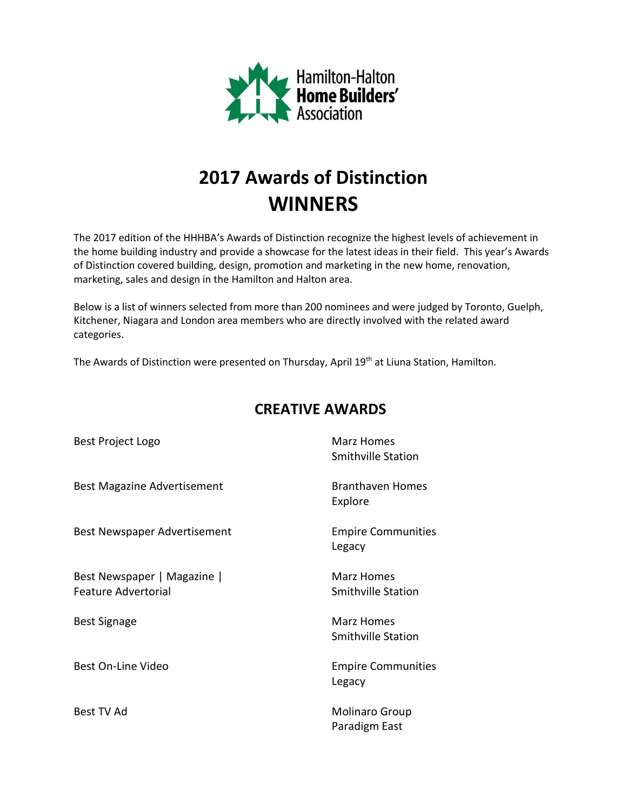

## **2017 Awards of Distinction WINNERS**

The 2017 edition of the HHHBA's Awards of Distinction recognize the highest levels of achievement in the home building industry and provide a showcase for the latest ideas in their field. This year's Awards of Distinction covered building, design, promotion and marketing in the new home, renovation, marketing, sales and design in the Hamilton and Halton area.

Below is a list of winners selected from more than 200 nominees and were judged by Toronto, Guelph, Kitchener, Niagara and London area members who are directly involved with the related award categories.

The Awards of Distinction were presented on Thursday, April 19<sup>th</sup> at Liuna Station, Hamilton.

| Best Project Logo                                         | Marz Homes<br><b>Smithville Station</b> |
|-----------------------------------------------------------|-----------------------------------------|
| <b>Best Magazine Advertisement</b>                        | <b>Branthaven Homes</b><br>Explore      |
| Best Newspaper Advertisement                              | <b>Empire Communities</b><br>Legacy     |
| Best Newspaper   Magazine  <br><b>Feature Advertorial</b> | Marz Homes<br><b>Smithville Station</b> |
| <b>Best Signage</b>                                       | Marz Homes<br><b>Smithville Station</b> |
| Best On-Line Video                                        | <b>Empire Communities</b><br>Legacy     |
| Best TV Ad                                                | Molinaro Group<br>Paradigm East         |

## **CREATIVE AWARDS**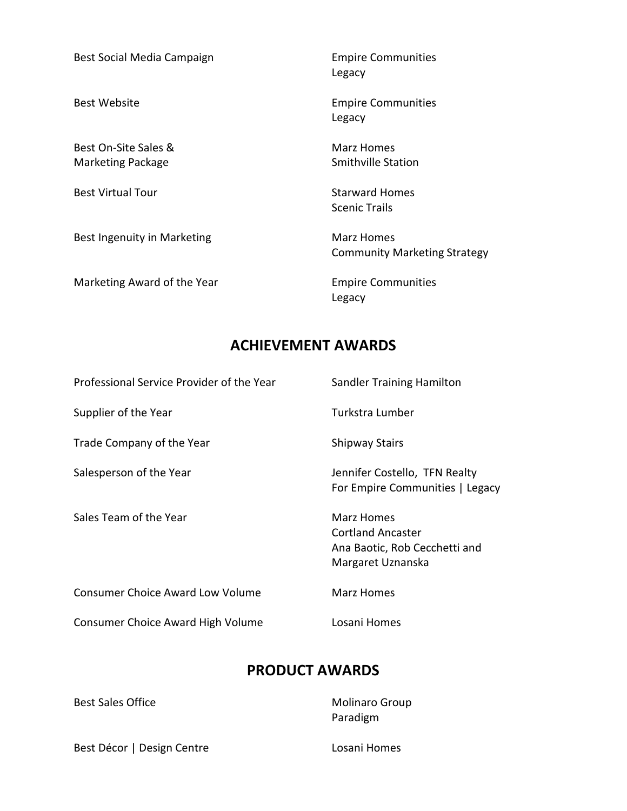Best Social Media Campaign **Empire Communities** 

Best On-Site Sales & Marz Homes Marketing Package Smithville Station

Best Ingenuity in Marketing Marz Homes

Marketing Award of the Year **Empire Communities** 

Legacy

Best Website **Empire Communities** Legacy

Best Virtual Tour **Starward Homes** Scenic Trails

Community Marketing Strategy

Legacy

## **ACHIEVEMENT AWARDS**

| Professional Service Provider of the Year | <b>Sandler Training Hamilton</b>                                                             |
|-------------------------------------------|----------------------------------------------------------------------------------------------|
| Supplier of the Year                      | Turkstra Lumber                                                                              |
| Trade Company of the Year                 | <b>Shipway Stairs</b>                                                                        |
| Salesperson of the Year                   | Jennifer Costello, TFN Realty<br>For Empire Communities   Legacy                             |
| Sales Team of the Year                    | Marz Homes<br><b>Cortland Ancaster</b><br>Ana Baotic, Rob Cecchetti and<br>Margaret Uznanska |
| <b>Consumer Choice Award Low Volume</b>   | Marz Homes                                                                                   |
| Consumer Choice Award High Volume         | Losani Homes                                                                                 |

## **PRODUCT AWARDS**

| <b>Molinaro Group</b> |
|-----------------------|
| Paradigm              |
|                       |

Best Décor | Design Centre | Losani Homes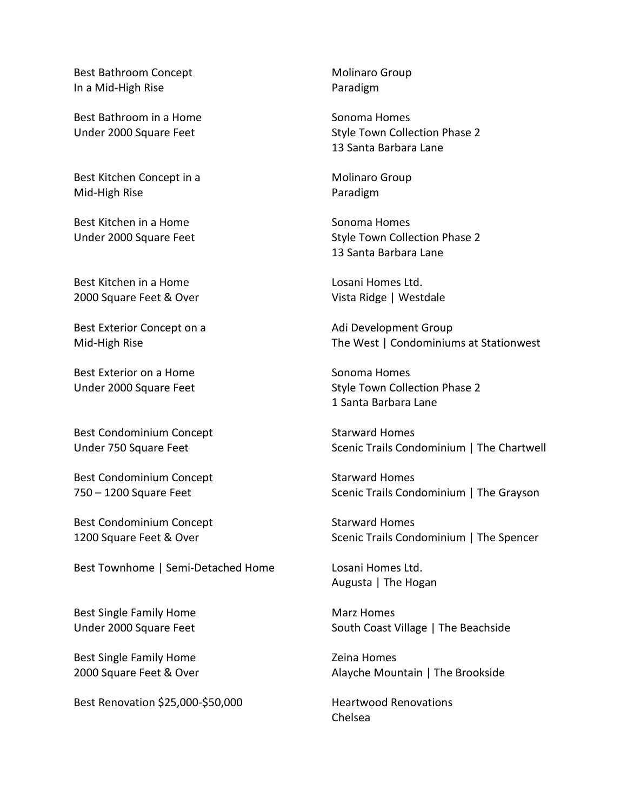Best Bathroom Concept **Molinaro** Group In a Mid-High Rise **Paradigm** 

Best Bathroom in a Home Sonoma Homes

Best Kitchen Concept in a Molinaro Group Mid-High Rise **Paradigm** 

Best Kitchen in a Home Sonoma Homes

Best Kitchen in a Home Letter Controller and Losani Homes Ltd. 2000 Square Feet & Over Vista Ridge | Westdale

Best Exterior Concept on a Adi Development Group

Best Exterior on a Home Sonoma Homes

Best Condominium Concept Starward Homes

Best Condominium Concept Starward Homes

Best Condominium Concept Starward Homes

Best Townhome | Semi-Detached Home Losani Homes Ltd.

Best Single Family Home Marz Homes

Best Single Family Home **Example 2** and Security 2 and Homes

Best Renovation \$25,000-\$50,000 Heartwood Renovations

Under 2000 Square Feet Style Town Collection Phase 2 13 Santa Barbara Lane

Under 2000 Square Feet Style Town Collection Phase 2 13 Santa Barbara Lane

Mid-High Rise The West | Condominiums at Stationwest

Under 2000 Square Feet Style Town Collection Phase 2 1 Santa Barbara Lane

Under 750 Square Feet Scenic Trails Condominium | The Chartwell

750 – 1200 Square Feet Scenic Trails Condominium | The Grayson

1200 Square Feet & Over Scenic Trails Condominium | The Spencer

Augusta | The Hogan

Under 2000 Square Feet South Coast Village | The Beachside

2000 Square Feet & Over Alayche Mountain | The Brookside

Chelsea